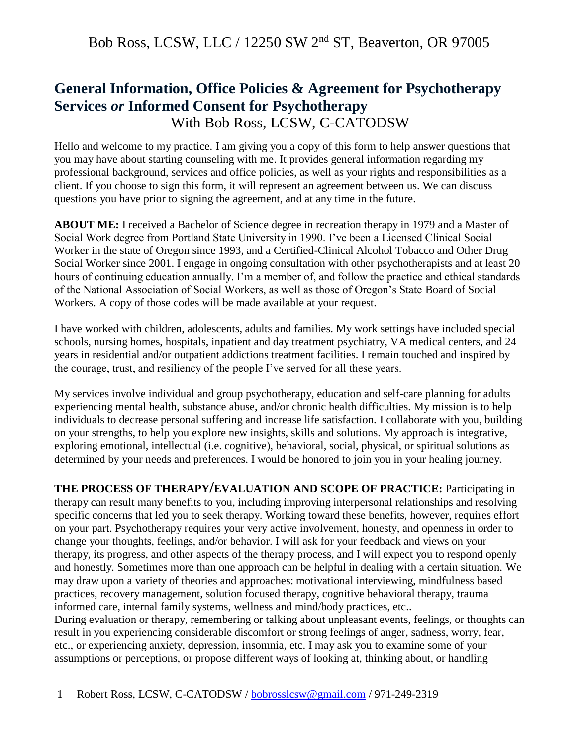#### **General Information, Office Policies & Agreement for Psychotherapy Services** *or* **Informed Consent for Psychotherapy** With Bob Ross, LCSW, C-CATODSW

Hello and welcome to my practice. I am giving you a copy of this form to help answer questions that you may have about starting counseling with me. It provides general information regarding my professional background, services and office policies, as well as your rights and responsibilities as a client. If you choose to sign this form, it will represent an agreement between us. We can discuss questions you have prior to signing the agreement, and at any time in the future.

**ABOUT ME:** I received a Bachelor of Science degree in recreation therapy in 1979 and a Master of Social Work degree from Portland State University in 1990. I've been a Licensed Clinical Social Worker in the state of Oregon since 1993, and a Certified-Clinical Alcohol Tobacco and Other Drug Social Worker since 2001. I engage in ongoing consultation with other psychotherapists and at least 20 hours of continuing education annually. I'm a member of, and follow the practice and ethical standards of the National Association of Social Workers, as well as those of Oregon's State Board of Social Workers. A copy of those codes will be made available at your request.

I have worked with children, adolescents, adults and families. My work settings have included special schools, nursing homes, hospitals, inpatient and day treatment psychiatry, VA medical centers, and 24 years in residential and/or outpatient addictions treatment facilities. I remain touched and inspired by the courage, trust, and resiliency of the people I've served for all these years.

My services involve individual and group psychotherapy, education and self-care planning for adults experiencing mental health, substance abuse, and/or chronic health difficulties. My mission is to help individuals to decrease personal suffering and increase life satisfaction. I collaborate with you, building on your strengths, to help you explore new insights, skills and solutions. My approach is integrative, exploring emotional, intellectual (i.e. cognitive), behavioral, social, physical, or spiritual solutions as determined by your needs and preferences. I would be honored to join you in your healing journey.

**THE PROCESS OF THERAPY/EVALUATION AND SCOPE OF PRACTICE:** Participating in therapy can result many benefits to you, including improving interpersonal relationships and resolving specific concerns that led you to seek therapy. Working toward these benefits, however, requires effort on your part. Psychotherapy requires your very active involvement, honesty, and openness in order to change your thoughts, feelings, and/or behavior. I will ask for your feedback and views on your therapy, its progress, and other aspects of the therapy process, and I will expect you to respond openly and honestly. Sometimes more than one approach can be helpful in dealing with a certain situation. We may draw upon a variety of theories and approaches: motivational interviewing, mindfulness based practices, recovery management, solution focused therapy, cognitive behavioral therapy, trauma informed care, internal family systems, wellness and mind/body practices, etc..

During evaluation or therapy, remembering or talking about unpleasant events, feelings, or thoughts can result in you experiencing considerable discomfort or strong feelings of anger, sadness, worry, fear, etc., or experiencing anxiety, depression, insomnia, etc. I may ask you to examine some of your assumptions or perceptions, or propose different ways of looking at, thinking about, or handling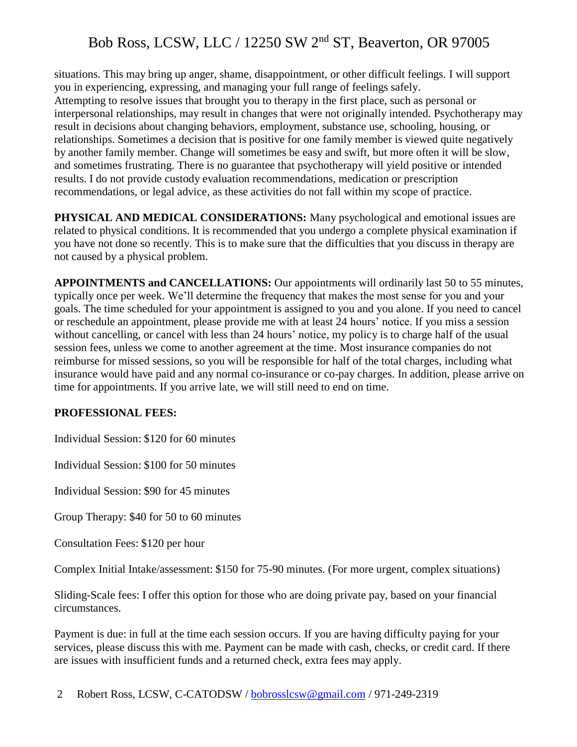situations. This may bring up anger, shame, disappointment, or other difficult feelings. I will support you in experiencing, expressing, and managing your full range of feelings safely. Attempting to resolve issues that brought you to therapy in the first place, such as personal or interpersonal relationships, may result in changes that were not originally intended. Psychotherapy may result in decisions about changing behaviors, employment, substance use, schooling, housing, or relationships. Sometimes a decision that is positive for one family member is viewed quite negatively by another family member. Change will sometimes be easy and swift, but more often it will be slow, and sometimes frustrating. There is no guarantee that psychotherapy will yield positive or intended results. I do not provide custody evaluation recommendations, medication or prescription recommendations, or legal advice, as these activities do not fall within my scope of practice.

**PHYSICAL AND MEDICAL CONSIDERATIONS:** Many psychological and emotional issues are related to physical conditions. It is recommended that you undergo a complete physical examination if you have not done so recently. This is to make sure that the difficulties that you discuss in therapy are not caused by a physical problem.

**APPOINTMENTS and CANCELLATIONS:** Our appointments will ordinarily last 50 to 55 minutes, typically once per week. We'll determine the frequency that makes the most sense for you and your goals. The time scheduled for your appointment is assigned to you and you alone. If you need to cancel or reschedule an appointment, please provide me with at least 24 hours' notice. If you miss a session without cancelling, or cancel with less than 24 hours' notice, my policy is to charge half of the usual session fees, unless we come to another agreement at the time. Most insurance companies do not reimburse for missed sessions, so you will be responsible for half of the total charges, including what insurance would have paid and any normal co-insurance or co-pay charges. In addition, please arrive on time for appointments. If you arrive late, we will still need to end on time.

#### **PROFESSIONAL FEES:**

Individual Session: \$120 for 60 minutes

Individual Session: \$100 for 50 minutes

Individual Session: \$90 for 45 minutes

Group Therapy: \$40 for 50 to 60 minutes

Consultation Fees: \$120 per hour

Complex Initial Intake/assessment: \$150 for 75-90 minutes. (For more urgent, complex situations)

Sliding-Scale fees: I offer this option for those who are doing private pay, based on your financial circumstances.

Payment is due: in full at the time each session occurs. If you are having difficulty paying for your services, please discuss this with me. Payment can be made with cash, checks, or credit card. If there are issues with insufficient funds and a returned check, extra fees may apply.

2 Robert Ross, LCSW, C-CATODSW / [bobrosslcsw@gmail.com](mailto:bobrosslcsw@gmail.com) / 971-249-2319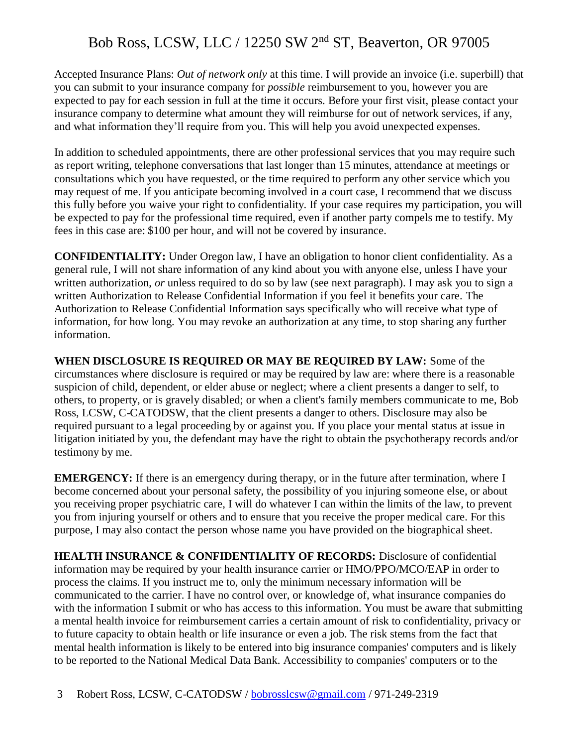Accepted Insurance Plans: *Out of network only* at this time. I will provide an invoice (i.e. superbill) that you can submit to your insurance company for *possible* reimbursement to you, however you are expected to pay for each session in full at the time it occurs. Before your first visit, please contact your insurance company to determine what amount they will reimburse for out of network services, if any, and what information they'll require from you. This will help you avoid unexpected expenses.

In addition to scheduled appointments, there are other professional services that you may require such as report writing, telephone conversations that last longer than 15 minutes, attendance at meetings or consultations which you have requested, or the time required to perform any other service which you may request of me. If you anticipate becoming involved in a court case, I recommend that we discuss this fully before you waive your right to confidentiality. If your case requires my participation, you will be expected to pay for the professional time required, even if another party compels me to testify. My fees in this case are: \$100 per hour, and will not be covered by insurance.

**CONFIDENTIALITY:** Under Oregon law, I have an obligation to honor client confidentiality. As a general rule, I will not share information of any kind about you with anyone else, unless I have your written authorization, *or* unless required to do so by law (see next paragraph). I may ask you to sign a written Authorization to Release Confidential Information if you feel it benefits your care. The Authorization to Release Confidential Information says specifically who will receive what type of information, for how long. You may revoke an authorization at any time, to stop sharing any further information.

**WHEN DISCLOSURE IS REQUIRED OR MAY BE REQUIRED BY LAW:** Some of the circumstances where disclosure is required or may be required by law are: where there is a reasonable suspicion of child, dependent, or elder abuse or neglect; where a client presents a danger to self, to others, to property, or is gravely disabled; or when a client's family members communicate to me, Bob Ross, LCSW, C-CATODSW, that the client presents a danger to others. Disclosure may also be required pursuant to a legal proceeding by or against you. If you place your mental status at issue in litigation initiated by you, the defendant may have the right to obtain the psychotherapy records and/or testimony by me.

**EMERGENCY:** If there is an emergency during therapy, or in the future after termination, where I become concerned about your personal safety, the possibility of you injuring someone else, or about you receiving proper psychiatric care, I will do whatever I can within the limits of the law, to prevent you from injuring yourself or others and to ensure that you receive the proper medical care. For this purpose, I may also contact the person whose name you have provided on the biographical sheet.

**HEALTH INSURANCE & CONFIDENTIALITY OF RECORDS:** Disclosure of confidential information may be required by your health insurance carrier or HMO/PPO/MCO/EAP in order to process the claims. If you instruct me to, only the minimum necessary information will be communicated to the carrier. I have no control over, or knowledge of, what insurance companies do with the information I submit or who has access to this information. You must be aware that submitting a mental health invoice for reimbursement carries a certain amount of risk to confidentiality, privacy or to future capacity to obtain health or life insurance or even a job. The risk stems from the fact that mental health information is likely to be entered into big insurance companies' computers and is likely to be reported to the National Medical Data Bank. Accessibility to companies' computers or to the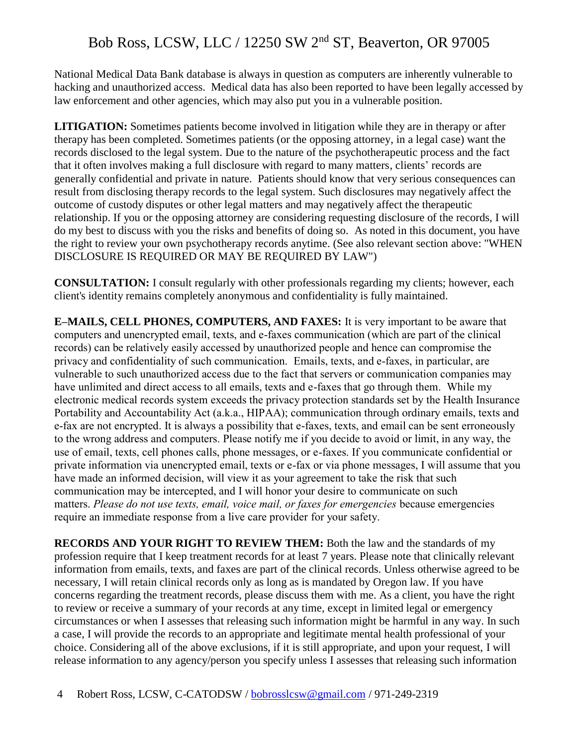National Medical Data Bank database is always in question as computers are inherently vulnerable to hacking and unauthorized access. Medical data has also been reported to have been legally accessed by law enforcement and other agencies, which may also put you in a vulnerable position.

**LITIGATION:** Sometimes patients become involved in litigation while they are in therapy or after therapy has been completed. Sometimes patients (or the opposing attorney, in a legal case) want the records disclosed to the legal system. Due to the nature of the psychotherapeutic process and the fact that it often involves making a full disclosure with regard to many matters, clients' records are generally confidential and private in nature. Patients should know that very serious consequences can result from disclosing therapy records to the legal system. Such disclosures may negatively affect the outcome of custody disputes or other legal matters and may negatively affect the therapeutic relationship. If you or the opposing attorney are considering requesting disclosure of the records, I will do my best to discuss with you the risks and benefits of doing so. As noted in this document, you have the right to review your own psychotherapy records anytime. (See also relevant section above: "WHEN DISCLOSURE IS REQUIRED OR MAY BE REQUIRED BY LAW")

**CONSULTATION:** I consult regularly with other professionals regarding my clients; however, each client's identity remains completely anonymous and confidentiality is fully maintained.

**E–MAILS, CELL PHONES, COMPUTERS, AND FAXES:** It is very important to be aware that computers and unencrypted email, texts, and e-faxes communication (which are part of the clinical records) can be relatively easily accessed by unauthorized people and hence can compromise the privacy and confidentiality of such communication. Emails, texts, and e-faxes, in particular, are vulnerable to such unauthorized access due to the fact that servers or communication companies may have unlimited and direct access to all emails, texts and e-faxes that go through them. While my electronic medical records system exceeds the privacy protection standards set by the Health Insurance Portability and Accountability Act (a.k.a., HIPAA); communication through ordinary emails, texts and e-fax are not encrypted. It is always a possibility that e-faxes, texts, and email can be sent erroneously to the wrong address and computers. Please notify me if you decide to avoid or limit, in any way, the use of email, texts, cell phones calls, phone messages, or e-faxes. If you communicate confidential or private information via unencrypted email, texts or e-fax or via phone messages, I will assume that you have made an informed decision, will view it as your agreement to take the risk that such communication may be intercepted, and I will honor your desire to communicate on such matters. *Please do not use texts, email, voice mail, or faxes for emergencies* because emergencies require an immediate response from a live care provider for your safety.

**RECORDS AND YOUR RIGHT TO REVIEW THEM:** Both the law and the standards of my profession require that I keep treatment records for at least 7 years. Please note that clinically relevant information from emails, texts, and faxes are part of the clinical records. Unless otherwise agreed to be necessary, I will retain clinical records only as long as is mandated by Oregon law. If you have concerns regarding the treatment records, please discuss them with me. As a client, you have the right to review or receive a summary of your records at any time, except in limited legal or emergency circumstances or when I assesses that releasing such information might be harmful in any way. In such a case, I will provide the records to an appropriate and legitimate mental health professional of your choice. Considering all of the above exclusions, if it is still appropriate, and upon your request, I will release information to any agency/person you specify unless I assesses that releasing such information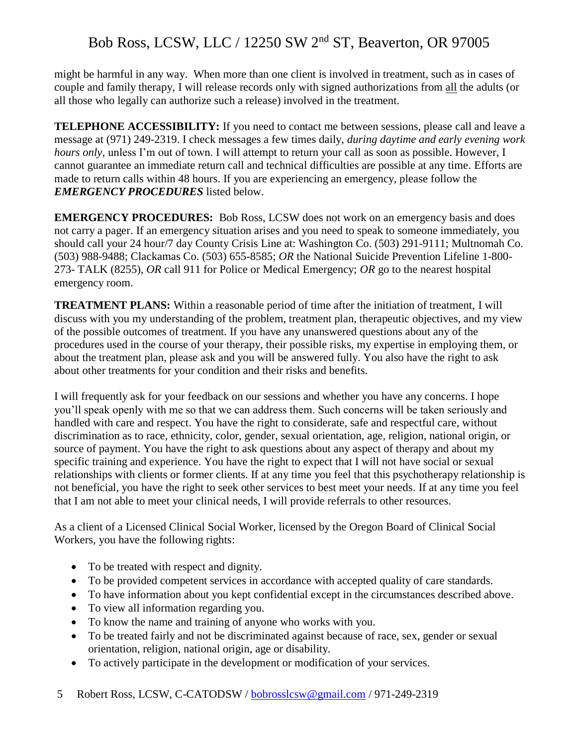might be harmful in any way. When more than one client is involved in treatment, such as in cases of couple and family therapy, I will release records only with signed authorizations from all the adults (or all those who legally can authorize such a release) involved in the treatment.

**TELEPHONE ACCESSIBILITY:** If you need to contact me between sessions, please call and leave a message at (971) 249-2319. I check messages a few times daily, *during daytime and early evening work hours only*, unless I'm out of town. I will attempt to return your call as soon as possible. However, I cannot guarantee an immediate return call and technical difficulties are possible at any time. Efforts are made to return calls within 48 hours. If you are experiencing an emergency, please follow the *EMERGENCY PROCEDURES* listed below.

**EMERGENCY PROCEDURES:** Bob Ross, LCSW does not work on an emergency basis and does not carry a pager. If an emergency situation arises and you need to speak to someone immediately, you should call your 24 hour/7 day County Crisis Line at: Washington Co. (503) 291-9111; Multnomah Co. (503) 988-9488; Clackamas Co. (503) 655-8585; *OR* the National Suicide Prevention Lifeline 1-800- 273- TALK (8255), *OR* call 911 for Police or Medical Emergency; *OR* go to the nearest hospital emergency room.

**TREATMENT PLANS:** Within a reasonable period of time after the initiation of treatment, I will discuss with you my understanding of the problem, treatment plan, therapeutic objectives, and my view of the possible outcomes of treatment. If you have any unanswered questions about any of the procedures used in the course of your therapy, their possible risks, my expertise in employing them, or about the treatment plan, please ask and you will be answered fully. You also have the right to ask about other treatments for your condition and their risks and benefits.

I will frequently ask for your feedback on our sessions and whether you have any concerns. I hope you'll speak openly with me so that we can address them. Such concerns will be taken seriously and handled with care and respect. You have the right to considerate, safe and respectful care, without discrimination as to race, ethnicity, color, gender, sexual orientation, age, religion, national origin, or source of payment. You have the right to ask questions about any aspect of therapy and about my specific training and experience. You have the right to expect that I will not have social or sexual relationships with clients or former clients. If at any time you feel that this psychotherapy relationship is not beneficial, you have the right to seek other services to best meet your needs. If at any time you feel that I am not able to meet your clinical needs, I will provide referrals to other resources.

As a client of a Licensed Clinical Social Worker, licensed by the Oregon Board of Clinical Social Workers, you have the following rights:

- To be treated with respect and dignity.
- To be provided competent services in accordance with accepted quality of care standards.
- To have information about you kept confidential except in the circumstances described above.
- To view all information regarding you.
- To know the name and training of anyone who works with you.
- To be treated fairly and not be discriminated against because of race, sex, gender or sexual orientation, religion, national origin, age or disability.
- To actively participate in the development or modification of your services.
- 5 Robert Ross, LCSW, C-CATODSW / [bobrosslcsw@gmail.com](mailto:bobrosslcsw@gmail.com) / 971-249-2319